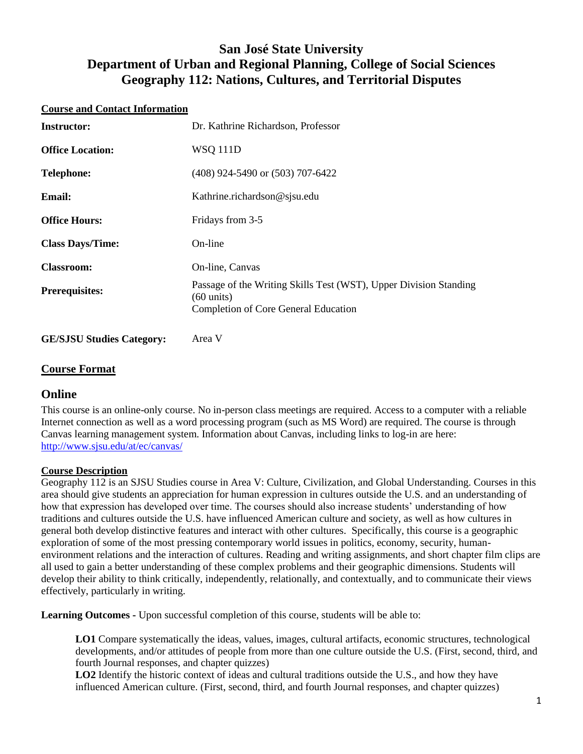# **San José State University Department of Urban and Regional Planning, College of Social Sciences Geography 112: Nations, Cultures, and Territorial Disputes**

#### **Course and Contact Information**

| <b>Instructor:</b>      | Dr. Kathrine Richardson, Professor                                                                                                       |  |  |
|-------------------------|------------------------------------------------------------------------------------------------------------------------------------------|--|--|
| <b>Office Location:</b> | <b>WSQ 111D</b>                                                                                                                          |  |  |
| <b>Telephone:</b>       | $(408)$ 924-5490 or $(503)$ 707-6422                                                                                                     |  |  |
| <b>Email:</b>           | Kathrine.richardson@sjsu.edu                                                                                                             |  |  |
| <b>Office Hours:</b>    | Fridays from 3-5                                                                                                                         |  |  |
| <b>Class Days/Time:</b> | On-line                                                                                                                                  |  |  |
| <b>Classroom:</b>       | On-line, Canvas                                                                                                                          |  |  |
| <b>Prerequisites:</b>   | Passage of the Writing Skills Test (WST), Upper Division Standing<br>$(60 \text{ units})$<br><b>Completion of Core General Education</b> |  |  |

**GE/SJSU Studies Category:** Area V

## **Course Format**

# **Online**

This course is an online-only course. No in-person class meetings are required. Access to a computer with a reliable Internet connection as well as a word processing program (such as MS Word) are required. The course is through Canvas learning management system. Information about Canvas, including links to log-in are here: <http://www.sjsu.edu/at/ec/canvas/>

#### **Course Description**

Geography 112 is an SJSU Studies course in Area V: Culture, Civilization, and Global Understanding. Courses in this area should give students an appreciation for human expression in cultures outside the U.S. and an understanding of how that expression has developed over time. The courses should also increase students' understanding of how traditions and cultures outside the U.S. have influenced American culture and society, as well as how cultures in general both develop distinctive features and interact with other cultures. Specifically, this course is a geographic exploration of some of the most pressing contemporary world issues in politics, economy, security, humanenvironment relations and the interaction of cultures. Reading and writing assignments, and short chapter film clips are all used to gain a better understanding of these complex problems and their geographic dimensions. Students will develop their ability to think critically, independently, relationally, and contextually, and to communicate their views effectively, particularly in writing.

**Learning Outcomes -** Upon successful completion of this course, students will be able to:

**LO1** Compare systematically the ideas, values, images, cultural artifacts, economic structures, technological developments, and/or attitudes of people from more than one culture outside the U.S. (First, second, third, and fourth Journal responses, and chapter quizzes)

**LO2** Identify the historic context of ideas and cultural traditions outside the U.S., and how they have influenced American culture. (First, second, third, and fourth Journal responses, and chapter quizzes)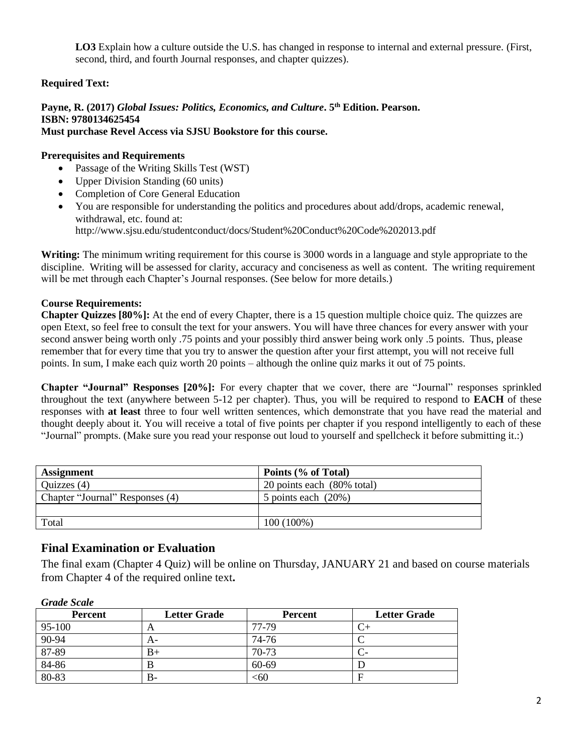**LO3** Explain how a culture outside the U.S. has changed in response to internal and external pressure. (First, second, third, and fourth Journal responses, and chapter quizzes).

### **Required Text:**

# **Payne, R. (2017)** *Global Issues: Politics, Economics, and Culture***. 5th Edition. Pearson. ISBN: 9780134625454**

# **Must purchase Revel Access via SJSU Bookstore for this course.**

### **Prerequisites and Requirements**

- Passage of the Writing Skills Test (WST)
- Upper Division Standing (60 units)
- Completion of Core General Education
- You are responsible for understanding the politics and procedures about add/drops, academic renewal, withdrawal, etc. found at: http://www.sjsu.edu/studentconduct/docs/Student%20Conduct%20Code%202013.pdf

**Writing:** The minimum writing requirement for this course is 3000 words in a language and style appropriate to the discipline. Writing will be assessed for clarity, accuracy and conciseness as well as content. The writing requirement will be met through each Chapter's Journal responses. (See below for more details.)

### **Course Requirements:**

**Chapter Quizzes [80%]:** At the end of every Chapter, there is a 15 question multiple choice quiz. The quizzes are open Etext, so feel free to consult the text for your answers. You will have three chances for every answer with your second answer being worth only .75 points and your possibly third answer being work only .5 points. Thus, please remember that for every time that you try to answer the question after your first attempt, you will not receive full points. In sum, I make each quiz worth 20 points – although the online quiz marks it out of 75 points.

**Chapter "Journal" Responses [20%]:** For every chapter that we cover, there are "Journal" responses sprinkled throughout the text (anywhere between 5-12 per chapter). Thus, you will be required to respond to **EACH** of these responses with **at least** three to four well written sentences, which demonstrate that you have read the material and thought deeply about it. You will receive a total of five points per chapter if you respond intelligently to each of these "Journal" prompts. (Make sure you read your response out loud to yourself and spellcheck it before submitting it.:)

| <b>Assignment</b>               | Points (% of Total)        |
|---------------------------------|----------------------------|
| Quizzes $(4)$                   | 20 points each (80% total) |
| Chapter "Journal" Responses (4) | 5 points each $(20\%)$     |
|                                 |                            |
| Total                           | $100(100\%)$               |

# **Final Examination or Evaluation**

The final exam (Chapter 4 Quiz) will be online on Thursday, JANUARY 21 and based on course materials from Chapter 4 of the required online text**.**

| ------------   |                     |                |                     |  |  |
|----------------|---------------------|----------------|---------------------|--|--|
| <b>Percent</b> | <b>Letter Grade</b> | <b>Percent</b> | <b>Letter Grade</b> |  |  |
| 95-100         | A                   | 77-79          |                     |  |  |
| $90 - 94$      | A-                  | 74-76          |                     |  |  |
| 87-89          | B+                  | 70-73          |                     |  |  |
| 84-86          | В                   | 60-69          |                     |  |  |
| $80 - 83$      | B-                  | <60            |                     |  |  |

*Grade Scale*